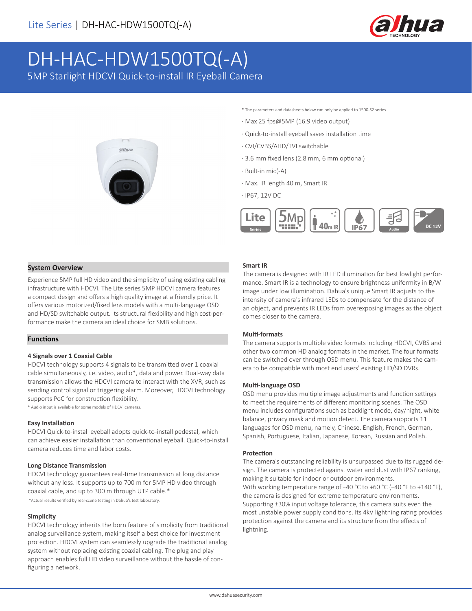

# DH-HAC-HDW1500TQ(-A)

5MP Starlight HDCVI Quick-to-install IR Eyeball Camera



\* The parameters and datasheets below can only be applied to 1500-S2 series.

- · Max 25 fps@5MP (16:9 video output)
- · Quick-to-install eyeball saves installation time
- · CVI/CVBS/AHD/TVI switchable
- · 3.6 mm fixed lens (2.8 mm, 6 mm optional)
- · Built-in mic(-A)
- · Max. IR length 40 m, Smart IR
- · IP67, 12V DC



# **System Overview**

Experience 5MP full HD video and the simplicity of using existing cabling infrastructure with HDCVI. The Lite series 5MP HDCVI camera features a compact design and offers a high quality image at a friendly price. It offers various motorized/fixed lens models with a multi-language OSD and HD/SD switchable output. Its structural flexibility and high cost-performance make the camera an ideal choice for SMB solutions.

# **Functions**

#### **4 Signals over 1 Coaxial Cable**

HDCVI technology supports 4 signals to be transmitted over 1 coaxial cable simultaneously, i.e. video, audio\*, data and power. Dual-way data transmission allows the HDCVI camera to interact with the XVR, such as sending control signal or triggering alarm. Moreover, HDCVI technology supports PoC for construction flexibility.

\* Audio input is available for some models of HDCVI cameras.

# **Easy Installation**

HDCVI Quick-to-install eyeball adopts quick-to-install pedestal, which can achieve easier installation than conventional eyeball. Quick-to-install camera reduces time and labor costs.

#### **Long Distance Transmission**

HDCVI technology guarantees real-time transmission at long distance without any loss. It supports up to 700 m for 5MP HD video through coaxial cable, and up to 300 m through UTP cable.\* \*Actual results verified by real-scene testing in Dahua's test laboratory.

#### **Simplicity**

HDCVI technology inherits the born feature of simplicity from traditional analog surveillance system, making itself a best choice for investment protection. HDCVI system can seamlessly upgrade the traditional analog system without replacing existing coaxial cabling. The plug and play approach enables full HD video surveillance without the hassle of configuring a network.

#### **Smart IR**

The camera is designed with IR LED illumination for best lowlight performance. Smart IR is a technology to ensure brightness uniformity in B/W image under low illumination. Dahua's unique Smart IR adjusts to the intensity of camera's infrared LEDs to compensate for the distance of an object, and prevents IR LEDs from overexposing images as the object comes closer to the camera.

#### **Multi-formats**

The camera supports multiple video formats including HDCVI, CVBS and other two common HD analog formats in the market. The four formats can be switched over through OSD menu. This feature makes the camera to be compatible with most end users' existing HD/SD DVRs.

# **Multi-language OSD**

OSD menu provides multiple image adjustments and function settings to meet the requirements of different monitoring scenes. The OSD menu includes configurations such as backlight mode, day/night, white balance, privacy mask and motion detect. The camera supports 11 languages for OSD menu, namely, Chinese, English, French, German, Spanish, Portuguese, Italian, Japanese, Korean, Russian and Polish.

#### **Protection**

The camera's outstanding reliability is unsurpassed due to its rugged design. The camera is protected against water and dust with IP67 ranking, making it suitable for indoor or outdoor environments. With working temperature range of -40 °C to +60 °C (-40 °F to +140 °F), the camera is designed for extreme temperature environments. Supporting ±30% input voltage tolerance, this camera suits even the most unstable power supply conditions. Its 4kV lightning rating provides protection against the camera and its structure from the effects of lightning.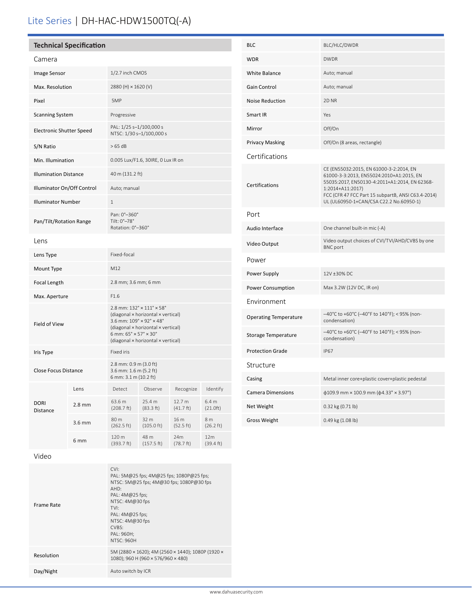# Lite Series | DH-HAC-HDW1500TQ(-A)

| <b>Technical Specification</b> |          |                                                                                                                                                                                                                                                                |                              |                     |                              |
|--------------------------------|----------|----------------------------------------------------------------------------------------------------------------------------------------------------------------------------------------------------------------------------------------------------------------|------------------------------|---------------------|------------------------------|
| Camera                         |          |                                                                                                                                                                                                                                                                |                              |                     |                              |
| Image Sensor                   |          | 1/2.7 inch CMOS                                                                                                                                                                                                                                                |                              |                     |                              |
| Max. Resolution                |          | 2880 (H) × 1620 (V)                                                                                                                                                                                                                                            |                              |                     |                              |
| Pixel                          |          | 5MP                                                                                                                                                                                                                                                            |                              |                     |                              |
| <b>Scanning System</b>         |          | Progressive                                                                                                                                                                                                                                                    |                              |                     |                              |
| Electronic Shutter Speed       |          | PAL: 1/25 s-1/100,000 s<br>NTSC: 1/30 s-1/100,000 s                                                                                                                                                                                                            |                              |                     |                              |
| S/N Ratio                      |          | >65 dB                                                                                                                                                                                                                                                         |                              |                     |                              |
| Min. Illumination              |          | 0.005 Lux/F1.6, 30IRE, 0 Lux IR on                                                                                                                                                                                                                             |                              |                     |                              |
| <b>Illumination Distance</b>   |          | 40 m (131.2 ft)                                                                                                                                                                                                                                                |                              |                     |                              |
| Illuminator On/Off Control     |          | Auto; manual                                                                                                                                                                                                                                                   |                              |                     |                              |
| <b>Illuminator Number</b>      |          | 1                                                                                                                                                                                                                                                              |                              |                     |                              |
| Pan/Tilt/Rotation Range        |          | Pan: 0°-360°<br>Tilt: 0°-78°<br>Rotation: 0°-360°                                                                                                                                                                                                              |                              |                     |                              |
| Lens                           |          |                                                                                                                                                                                                                                                                |                              |                     |                              |
| Lens Type                      |          | Fixed-focal                                                                                                                                                                                                                                                    |                              |                     |                              |
| Mount Type                     |          | M12                                                                                                                                                                                                                                                            |                              |                     |                              |
| Focal Length                   |          | 2.8 mm; 3.6 mm; 6 mm                                                                                                                                                                                                                                           |                              |                     |                              |
| Max. Aperture                  |          | F1.6                                                                                                                                                                                                                                                           |                              |                     |                              |
| Field of View                  |          | $2.8$ mm: $132^{\circ} \times 111^{\circ} \times 58^{\circ}$<br>(diagonal x horizontal x vertical)<br>3.6 mm: 109° × 92° × 48°<br>(diagonal × horizontal × vertical)<br>6 mm: $65^\circ \times 57^\circ \times 30^\circ$<br>(diagonal × horizontal × vertical) |                              |                     |                              |
| Iris Type                      |          | <b>Fixed iris</b>                                                                                                                                                                                                                                              |                              |                     |                              |
| <b>Close Focus Distance</b>    |          | 2.8 mm: 0.9 m (3.0 ft)<br>3.6 mm: 1.6 m (5.2 ft)<br>6 mm: 3.1 m (10.2 ft)                                                                                                                                                                                      |                              |                     |                              |
| <b>DORI</b><br>Distance        | Lens     | Detect                                                                                                                                                                                                                                                         | Observe                      | Recognize           | Identify                     |
|                                | $2.8$ mm | 63.6 m<br>(208.7 ft)                                                                                                                                                                                                                                           | 25.4 m<br>(83.3 ft)          | 12.7 m<br>(41.7 ft) | 6.4 <sub>m</sub><br>(21.0ft) |
|                                | 3.6 mm   | 80 m<br>(262.5 ft)                                                                                                                                                                                                                                             | 32 m<br>$(105.0 \text{ ft})$ | 16 m<br>(52.5 ft)   | 8 m<br>$(26.2 \text{ ft})$   |
|                                | 6 mm     | 120 m<br>(393.7 ft)                                                                                                                                                                                                                                            | 48 m<br>(157.5 ft)           | 24m<br>(78.7 ft)    | 12m<br>(39.4 ft)             |

| BLC                          | BLC/HLC/DWDR                                                                                                                                                                                                                                              |  |  |
|------------------------------|-----------------------------------------------------------------------------------------------------------------------------------------------------------------------------------------------------------------------------------------------------------|--|--|
| <b>WDR</b>                   | <b>DWDR</b>                                                                                                                                                                                                                                               |  |  |
| White Balance                | Auto; manual                                                                                                                                                                                                                                              |  |  |
| Gain Control                 | Auto; manual                                                                                                                                                                                                                                              |  |  |
| <b>Noise Reduction</b>       | 2D <sub>NR</sub>                                                                                                                                                                                                                                          |  |  |
| Smart IR                     | Yes                                                                                                                                                                                                                                                       |  |  |
| Mirror                       | Off/On                                                                                                                                                                                                                                                    |  |  |
| Privacy Masking              | Off/On (8 areas, rectangle)                                                                                                                                                                                                                               |  |  |
| Certifications               |                                                                                                                                                                                                                                                           |  |  |
| <b>Certifications</b>        | CE (EN55032:2015, EN 61000-3-2:2014, EN<br>61000-3-3:2013, EN55024:2010+A1:2015, EN<br>55035:2017, EN50130-4:2011+A1:2014, EN 62368-<br>1:2014+A11:2017)<br>FCC (CFR 47 FCC Part 15 subpartB, ANSI C63.4-2014)<br>UL (UL60950-1+CAN/CSA C22.2 No.60950-1) |  |  |
| Port                         |                                                                                                                                                                                                                                                           |  |  |
| Audio Interface              | One channel built-in mic (-A)                                                                                                                                                                                                                             |  |  |
| Video Output                 | Video output choices of CVI/TVI/AHD/CVBS by one<br><b>BNC</b> port                                                                                                                                                                                        |  |  |
| Power                        |                                                                                                                                                                                                                                                           |  |  |
| Power Supply                 | 12V ±30% DC                                                                                                                                                                                                                                               |  |  |
| Power Consumption            | Max 3.2W (12V DC, IR on)                                                                                                                                                                                                                                  |  |  |
| Environment                  |                                                                                                                                                                                                                                                           |  |  |
| <b>Operating Temperature</b> | –40°C to +60°C (−40°F to 140°F); < 95% (non-<br>condensation)                                                                                                                                                                                             |  |  |
| Storage Temperature          | -40°C to +60°C (-40°F to 140°F); < 95% (non-<br>condensation)                                                                                                                                                                                             |  |  |
| <b>Protection Grade</b>      | <b>IP67</b>                                                                                                                                                                                                                                               |  |  |
| Structure                    |                                                                                                                                                                                                                                                           |  |  |
| Casing                       | Metal inner core+plastic cover+plastic pedestal                                                                                                                                                                                                           |  |  |
| Camera Dimensions            | $\phi$ 109.9 mm × 100.9 mm ( $\phi$ 4.33" × 3.97")                                                                                                                                                                                                        |  |  |
| Net Weight                   | 0.32 kg (0.71 lb)                                                                                                                                                                                                                                         |  |  |
| Gross Weight                 | 0.49 kg (1.08 lb)                                                                                                                                                                                                                                         |  |  |

# Video

| CVI:<br>AHD:<br>Frame Rate<br>TVI:<br>CVBS: | PAL: 5M@25 fps; 4M@25 fps; 1080P@25 fps;<br>NTSC: 5M@25 fps; 4M@30 fps; 1080P@30 fps<br>PAL: $4M@25$ fps;<br>NTSC: 4M@30 fps<br>PAL: $4M@25$ fps;<br>NTSC: 4M@30 fps<br>PAL: 960H;<br>NTSC: 960H |
|---------------------------------------------|--------------------------------------------------------------------------------------------------------------------------------------------------------------------------------------------------|
| Resolution                                  | 5M (2880 × 1620); 4M (2560 × 1440); 1080P (1920 ×<br>1080); 960 H (960 × 576/960 × 480)                                                                                                          |
| Day/Night                                   | Auto switch by ICR                                                                                                                                                                               |